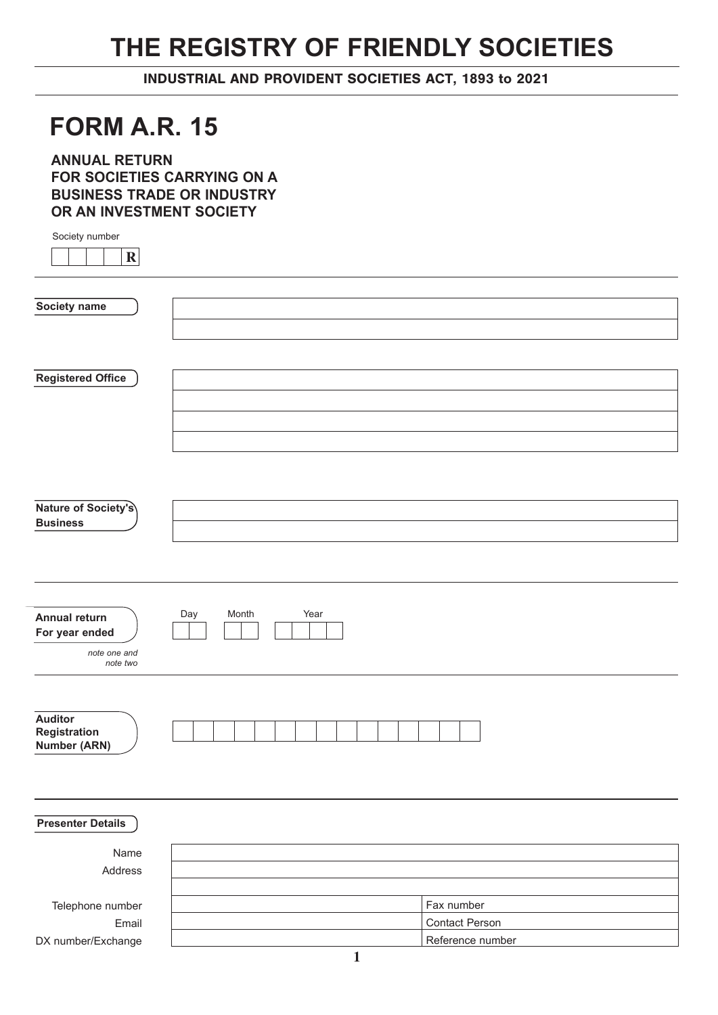## **THE REGISTRY OF FRIENDLY SOCIETIES**

INDUSTRIAL AND PROVIDENT SOCIETIES ACT, 1893 to 2021

## **FORM A.R. 15**

**ANNUAL RETURN FOR SOCIETIES CARRYING ON A BUSINESS TRADE OR INDUSTRY OR AN INVESTMENT SOCIETY**

Society number

|--|--|--|--|--|

| Society name                           |                      |                  |
|----------------------------------------|----------------------|------------------|
|                                        |                      |                  |
|                                        |                      |                  |
|                                        |                      |                  |
| <b>Registered Office</b>               |                      |                  |
|                                        |                      |                  |
|                                        |                      |                  |
|                                        |                      |                  |
|                                        |                      |                  |
|                                        |                      |                  |
|                                        |                      |                  |
|                                        |                      |                  |
| Nature of Society's<br><b>Business</b> |                      |                  |
|                                        |                      |                  |
|                                        |                      |                  |
|                                        |                      |                  |
|                                        |                      |                  |
|                                        |                      |                  |
| <b>Annual return</b>                   | Month<br>Year<br>Day |                  |
| For year ended                         |                      |                  |
| note one and                           |                      |                  |
| note two                               |                      |                  |
|                                        |                      |                  |
|                                        |                      |                  |
| <b>Auditor</b>                         |                      |                  |
| Registration<br><b>Number (ARN)</b>    |                      |                  |
|                                        |                      |                  |
|                                        |                      |                  |
|                                        |                      |                  |
|                                        |                      |                  |
| <b>Presenter Details</b>               |                      |                  |
|                                        |                      |                  |
| Name                                   |                      |                  |
| Address                                |                      |                  |
|                                        |                      |                  |
| Telephone number                       |                      | Fax number       |
| Email                                  |                      | Contact Person   |
| DX number/Exchange                     |                      | Reference number |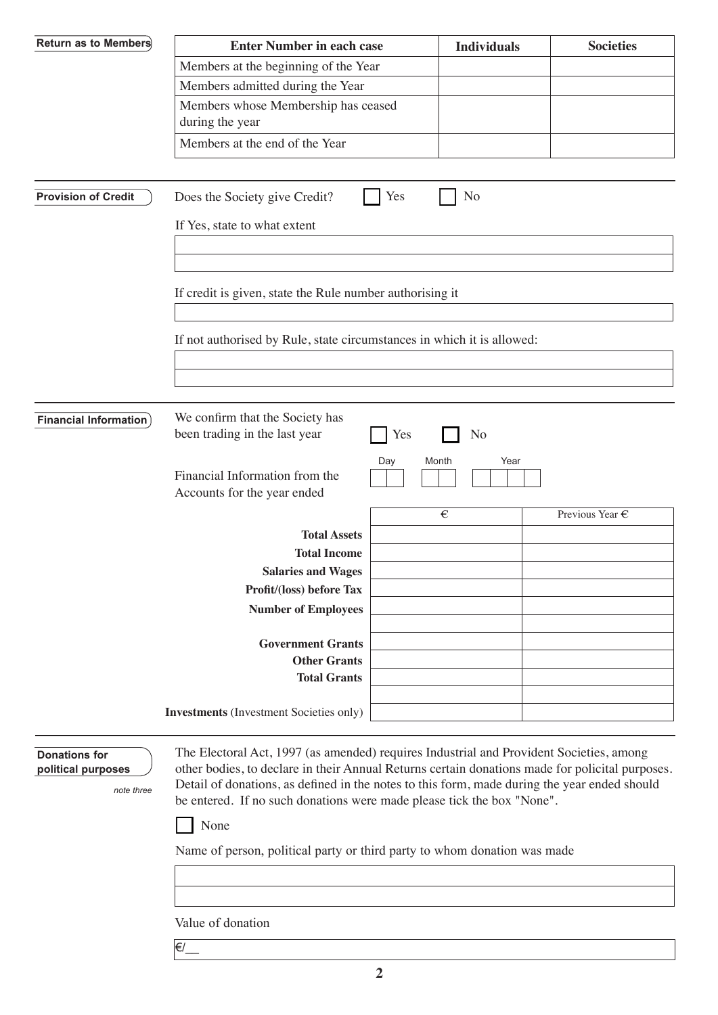| <b>Return as to Members</b>                              | <b>Enter Number in each case</b>                                                                                                                                                                                                                                                                                                                                                                                                                         |              | <b>Individuals</b> | <b>Societies</b> |
|----------------------------------------------------------|----------------------------------------------------------------------------------------------------------------------------------------------------------------------------------------------------------------------------------------------------------------------------------------------------------------------------------------------------------------------------------------------------------------------------------------------------------|--------------|--------------------|------------------|
|                                                          | Members at the beginning of the Year                                                                                                                                                                                                                                                                                                                                                                                                                     |              |                    |                  |
|                                                          | Members admitted during the Year                                                                                                                                                                                                                                                                                                                                                                                                                         |              |                    |                  |
|                                                          | Members whose Membership has ceased<br>during the year                                                                                                                                                                                                                                                                                                                                                                                                   |              |                    |                  |
|                                                          | Members at the end of the Year                                                                                                                                                                                                                                                                                                                                                                                                                           |              |                    |                  |
|                                                          |                                                                                                                                                                                                                                                                                                                                                                                                                                                          |              |                    |                  |
| <b>Provision of Credit</b>                               | Does the Society give Credit?                                                                                                                                                                                                                                                                                                                                                                                                                            | Yes          | N <sub>o</sub>     |                  |
|                                                          | If Yes, state to what extent                                                                                                                                                                                                                                                                                                                                                                                                                             |              |                    |                  |
|                                                          |                                                                                                                                                                                                                                                                                                                                                                                                                                                          |              |                    |                  |
|                                                          | If credit is given, state the Rule number authorising it                                                                                                                                                                                                                                                                                                                                                                                                 |              |                    |                  |
|                                                          | If not authorised by Rule, state circumstances in which it is allowed:                                                                                                                                                                                                                                                                                                                                                                                   |              |                    |                  |
|                                                          |                                                                                                                                                                                                                                                                                                                                                                                                                                                          |              |                    |                  |
|                                                          |                                                                                                                                                                                                                                                                                                                                                                                                                                                          |              |                    |                  |
|                                                          | We confirm that the Society has                                                                                                                                                                                                                                                                                                                                                                                                                          |              |                    |                  |
| <b>Financial Information</b> )                           | been trading in the last year                                                                                                                                                                                                                                                                                                                                                                                                                            | Yes          | N <sub>o</sub>     |                  |
|                                                          | Financial Information from the<br>Accounts for the year ended                                                                                                                                                                                                                                                                                                                                                                                            | Day<br>Month | Year               |                  |
|                                                          |                                                                                                                                                                                                                                                                                                                                                                                                                                                          |              | €                  | Previous Year €  |
|                                                          | <b>Total Assets</b>                                                                                                                                                                                                                                                                                                                                                                                                                                      |              |                    |                  |
|                                                          | <b>Total Income</b>                                                                                                                                                                                                                                                                                                                                                                                                                                      |              |                    |                  |
|                                                          | <b>Salaries and Wages</b><br>Profit/(loss) before Tax                                                                                                                                                                                                                                                                                                                                                                                                    |              |                    |                  |
|                                                          | <b>Number of Employees</b>                                                                                                                                                                                                                                                                                                                                                                                                                               |              |                    |                  |
|                                                          |                                                                                                                                                                                                                                                                                                                                                                                                                                                          |              |                    |                  |
|                                                          | <b>Government Grants</b>                                                                                                                                                                                                                                                                                                                                                                                                                                 |              |                    |                  |
|                                                          | <b>Other Grants</b>                                                                                                                                                                                                                                                                                                                                                                                                                                      |              |                    |                  |
|                                                          | <b>Total Grants</b>                                                                                                                                                                                                                                                                                                                                                                                                                                      |              |                    |                  |
|                                                          | <b>Investments</b> (Investment Societies only)                                                                                                                                                                                                                                                                                                                                                                                                           |              |                    |                  |
| <b>Donations for</b><br>political purposes<br>note three | The Electoral Act, 1997 (as amended) requires Industrial and Provident Societies, among<br>other bodies, to declare in their Annual Returns certain donations made for policital purposes.<br>Detail of donations, as defined in the notes to this form, made during the year ended should<br>be entered. If no such donations were made please tick the box "None".<br>None<br>Name of person, political party or third party to whom donation was made |              |                    |                  |
|                                                          |                                                                                                                                                                                                                                                                                                                                                                                                                                                          |              |                    |                  |
|                                                          | Value of donation                                                                                                                                                                                                                                                                                                                                                                                                                                        |              |                    |                  |
|                                                          | €/                                                                                                                                                                                                                                                                                                                                                                                                                                                       |              |                    |                  |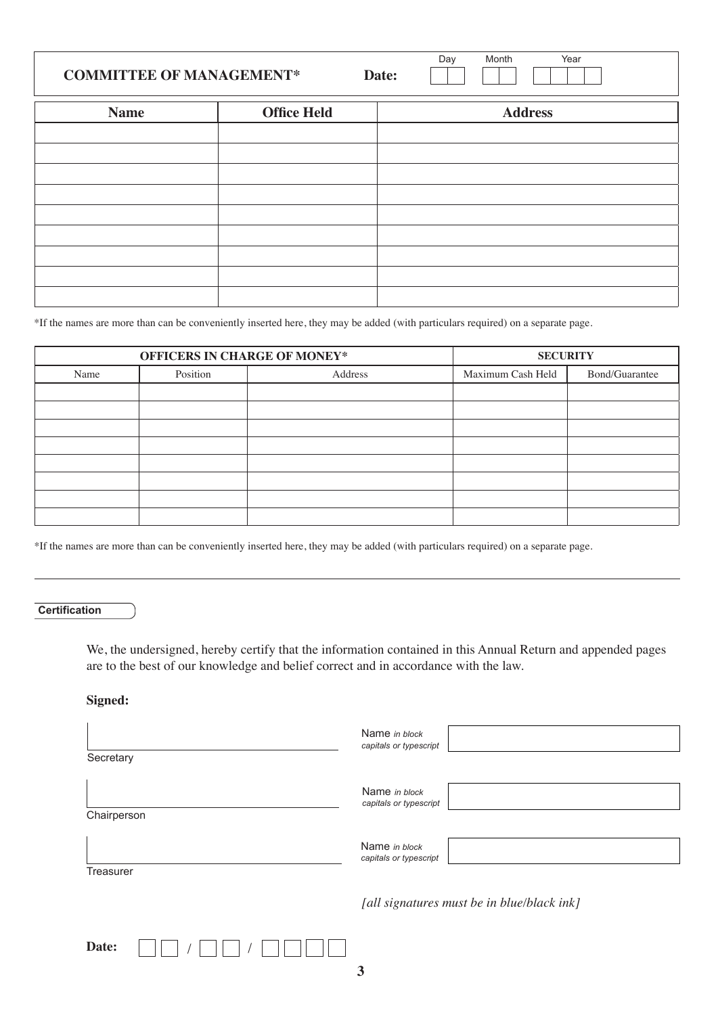| <b>COMMITTEE OF MANAGEMENT*</b> |                    | Date: | Month<br>Day | Year           |
|---------------------------------|--------------------|-------|--------------|----------------|
| <b>Name</b>                     | <b>Office Held</b> |       |              | <b>Address</b> |
|                                 |                    |       |              |                |
|                                 |                    |       |              |                |
|                                 |                    |       |              |                |
|                                 |                    |       |              |                |
|                                 |                    |       |              |                |
|                                 |                    |       |              |                |
|                                 |                    |       |              |                |
|                                 |                    |       |              |                |

\*If the names are more than can be conveniently inserted here, they may be added (with particulars required) on a separate page.

| OFFICERS IN CHARGE OF MONEY* |          |         | <b>SECURITY</b>   |                |
|------------------------------|----------|---------|-------------------|----------------|
| Name                         | Position | Address | Maximum Cash Held | Bond/Guarantee |
|                              |          |         |                   |                |
|                              |          |         |                   |                |
|                              |          |         |                   |                |
|                              |          |         |                   |                |
|                              |          |         |                   |                |
|                              |          |         |                   |                |
|                              |          |         |                   |                |
|                              |          |         |                   |                |

\*If the names are more than can be conveniently inserted here, they may be added (with particulars required) on a separate page.

**Certification**

We, the undersigned, hereby certify that the information contained in this Annual Return and appended pages are to the best of our knowledge and belief correct and in accordance with the law.

**Signed:**

| Secretary   | Name in block<br>capitals or typescript    |
|-------------|--------------------------------------------|
| Chairperson | Name in block<br>capitals or typescript    |
| Treasurer   | Name in block<br>capitals or typescript    |
|             | [all signatures must be in blue/black ink] |
| Date:       |                                            |